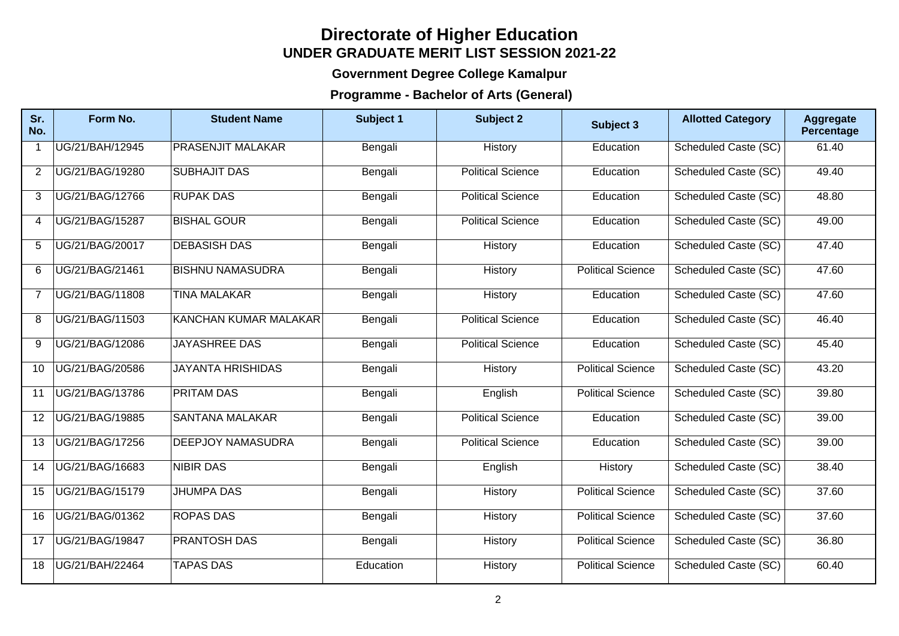## **Directorate of Higher Education UNDER GRADUATE MERIT LIST SESSION 2021-22**

## **Government Degree College Kamalpur**

## **Programme - Bachelor of Arts (General)**

| Sr.<br>No.     | Form No.        | <b>Student Name</b>          | Subject 1 | <b>Subject 2</b>         | Subject 3                | <b>Allotted Category</b> | <b>Aggregate</b><br>Percentage |
|----------------|-----------------|------------------------------|-----------|--------------------------|--------------------------|--------------------------|--------------------------------|
|                | UG/21/BAH/12945 | <b>PRASENJIT MALAKAR</b>     | Bengali   | History                  | Education                | Scheduled Caste (SC)     | 61.40                          |
| 2              | UG/21/BAG/19280 | <b>SUBHAJIT DAS</b>          | Bengali   | <b>Political Science</b> | Education                | Scheduled Caste (SC)     | 49.40                          |
| 3              | UG/21/BAG/12766 | <b>RUPAK DAS</b>             | Bengali   | <b>Political Science</b> | Education                | Scheduled Caste (SC)     | 48.80                          |
| $\overline{4}$ | UG/21/BAG/15287 | <b>BISHAL GOUR</b>           | Bengali   | <b>Political Science</b> | Education                | Scheduled Caste (SC)     | 49.00                          |
| 5              | UG/21/BAG/20017 | <b>DEBASISH DAS</b>          | Bengali   | History                  | Education                | Scheduled Caste (SC)     | 47.40                          |
| 6              | UG/21/BAG/21461 | <b>BISHNU NAMASUDRA</b>      | Bengali   | History                  | <b>Political Science</b> | Scheduled Caste (SC)     | 47.60                          |
| $\overline{7}$ | UG/21/BAG/11808 | <b>TINA MALAKAR</b>          | Bengali   | History                  | Education                | Scheduled Caste (SC)     | 47.60                          |
| 8              | UG/21/BAG/11503 | <b>KANCHAN KUMAR MALAKAR</b> | Bengali   | <b>Political Science</b> | Education                | Scheduled Caste (SC)     | 46.40                          |
| 9              | UG/21/BAG/12086 | <b>JAYASHREE DAS</b>         | Bengali   | <b>Political Science</b> | Education                | Scheduled Caste (SC)     | 45.40                          |
| 10             | UG/21/BAG/20586 | <b>JAYANTA HRISHIDAS</b>     | Bengali   | History                  | <b>Political Science</b> | Scheduled Caste (SC)     | 43.20                          |
| 11             | UG/21/BAG/13786 | <b>PRITAM DAS</b>            | Bengali   | English                  | <b>Political Science</b> | Scheduled Caste (SC)     | 39.80                          |
| 12             | UG/21/BAG/19885 | <b>SANTANA MALAKAR</b>       | Bengali   | <b>Political Science</b> | Education                | Scheduled Caste (SC)     | 39.00                          |
| 13             | UG/21/BAG/17256 | <b>DEEPJOY NAMASUDRA</b>     | Bengali   | <b>Political Science</b> | Education                | Scheduled Caste (SC)     | 39.00                          |
| 14             | UG/21/BAG/16683 | <b>NIBIR DAS</b>             | Bengali   | English                  | History                  | Scheduled Caste (SC)     | 38.40                          |
| 15             | UG/21/BAG/15179 | <b>JHUMPA DAS</b>            | Bengali   | History                  | <b>Political Science</b> | Scheduled Caste (SC)     | 37.60                          |
| 16             | UG/21/BAG/01362 | <b>ROPAS DAS</b>             | Bengali   | History                  | <b>Political Science</b> | Scheduled Caste (SC)     | 37.60                          |
| 17             | UG/21/BAG/19847 | <b>PRANTOSH DAS</b>          | Bengali   | History                  | <b>Political Science</b> | Scheduled Caste (SC)     | 36.80                          |
| 18             | UG/21/BAH/22464 | <b>TAPAS DAS</b>             | Education | History                  | <b>Political Science</b> | Scheduled Caste (SC)     | 60.40                          |